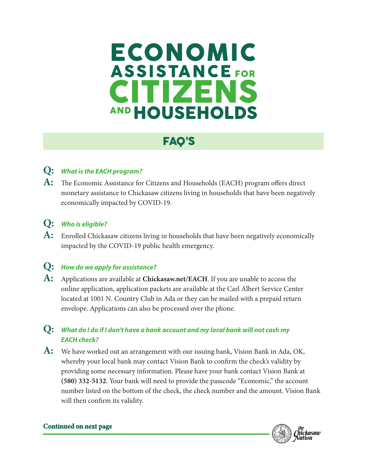# ECONOMIC **ASSISTANCE FOR** IZ SR **HOUSEHOLDS**

## FAQ'S

### **Q:** *What is the EACH program?*

**A:** The Economic Assistance for Citizens and Households (EACH) program offers direct monetary assistance to Chickasaw citizens living in households that have been negatively economically impacted by COVID-19.

#### **Q:** *Who is eligible?*

**A:** Enrolled Chickasaw citizens living in households that have been negatively economically impacted by the COVID-19 public health emergency.

#### **Q:** *How do we apply for assistance?*

**A:** Applications are available at **Chickasaw.net/EACH**. If you are unable to access the online application, application packets are available at the Carl Albert Service Center located at 1001 N. Country Club in Ada or they can be mailed with a prepaid return envelope. Applications can also be processed over the phone.

#### **Q:** *What do I do if I don't have a bank account and my local bank will not cash my EACH check?*

**A:** We have worked out an arrangement with our issuing bank, Vision Bank in Ada, OK, whereby your local bank may contact Vision Bank to confirm the check's validity by providing some necessary information. Please have your bank contact Vision Bank at **(580) 332-5132**. Your bank will need to provide the passcode "Economic," the account number listed on the bottom of the check, the check number and the amount. Vision Bank will then confirm its validity.



#### **Continued on next page**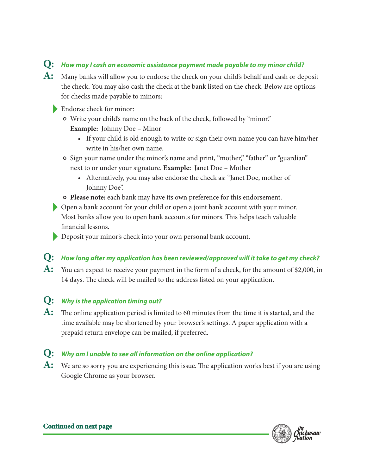#### **Q:** *How may I cash an economic assistance payment made payable to my minor child?*

- **A:** Many banks will allow you to endorse the check on your child's behalf and cash or deposit the check. You may also cash the check at the bank listed on the check. Below are options for checks made payable to minors:
	- Endorse check for minor:
		- Write your child's name on the back of the check, followed by "minor."
			- **Example:** Johnny Doe Minor
				- If your child is old enough to write or sign their own name you can have him/her write in his/her own name.
		- Sign your name under the minor's name and print, "mother," "father" or "guardian" next to or under your signature. **Example:** Janet Doe – Mother
			- Alternatively, you may also endorse the check as: "Janet Doe, mother of Johnny Doe".
		- **Please note:** each bank may have its own preference for this endorsement.
	- Open a bank account for your child or open a joint bank account with your minor. Most banks allow you to open bank accounts for minors. This helps teach valuable financial lessons.
	- Deposit your minor's check into your own personal bank account.

#### **Q:** *How long after my application has been reviewed/approved will it take to get my check?*

**A:** You can expect to receive your payment in the form of a check, for the amount of \$2,000, in 14 days. The check will be mailed to the address listed on your application.

#### **Q:** *Why is the application timing out?*

**A:** The online application period is limited to 60 minutes from the time it is started, and the time available may be shortened by your browser's settings. A paper application with a prepaid return envelope can be mailed, if preferred.

#### **Q:** *Why am I unable to see all information on the online application?*

A: We are so sorry you are experiencing this issue. The application works best if you are using Google Chrome as your browser.